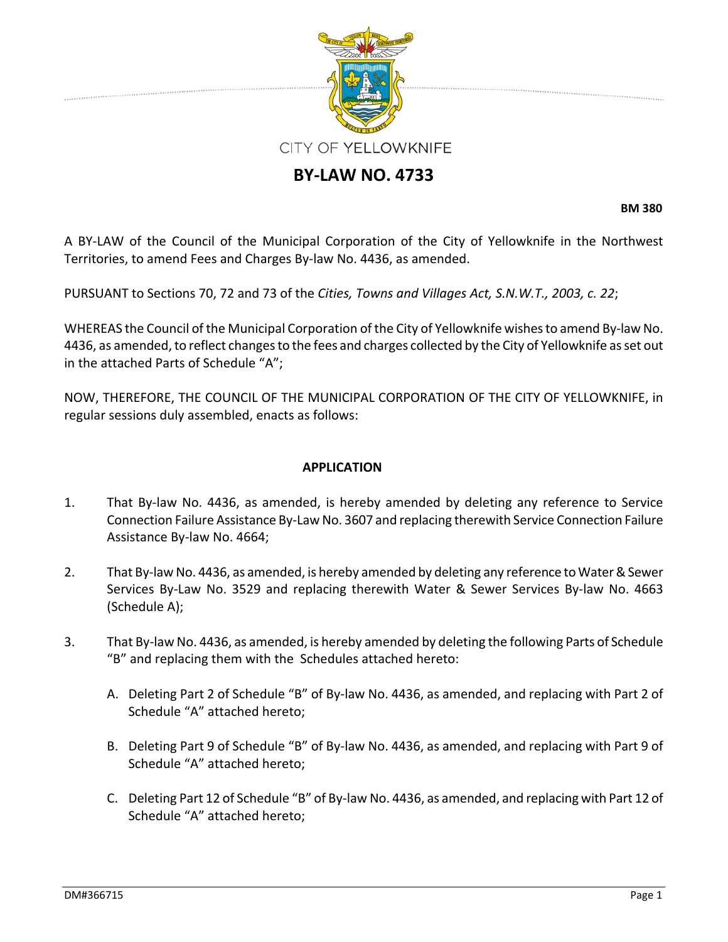

# **BY‐LAW NO. 4733**

**BM 380**

A BY‐LAW of the Council of the Municipal Corporation of the City of Yellowknife in the Northwest Territories, to amend Fees and Charges By‐law No. 4436, as amended.

PURSUANT to Sections 70, 72 and 73 of the *Cities, Towns and Villages Act, S.N.W.T., 2003, c. 22*;

WHEREAS the Council of the Municipal Corporation of the City of Yellowknife wishes to amend By-law No. 4436, as amended, to reflect changes to the fees and charges collected by the City of Yellowknife as set out in the attached Parts of Schedule "A";

NOW, THEREFORE, THE COUNCIL OF THE MUNICIPAL CORPORATION OF THE CITY OF YELLOWKNIFE, in regular sessions duly assembled, enacts as follows:

#### **APPLICATION**

- 1. That By‐law No. 4436, as amended, is hereby amended by deleting any reference to Service Connection Failure Assistance By‐Law No. 3607 and replacing therewith Service Connection Failure Assistance By‐law No. 4664;
- 2. That By-law No. 4436, as amended, is hereby amended by deleting any reference to Water & Sewer Services By‐Law No. 3529 and replacing therewith Water & Sewer Services By‐law No. 4663 (Schedule A);
- 3. That By‐law No. 4436, as amended, is hereby amended by deleting the following Parts of Schedule "B" and replacing them with the Schedules attached hereto:
	- A. Deleting Part 2 of Schedule "B" of By‐law No. 4436, as amended, and replacing with Part 2 of Schedule "A" attached hereto;
	- B. Deleting Part 9 of Schedule "B" of By‐law No. 4436, as amended, and replacing with Part 9 of Schedule "A" attached hereto;
	- C. Deleting Part 12 of Schedule "B" of By‐law No. 4436, as amended, and replacing with Part 12 of Schedule "A" attached hereto;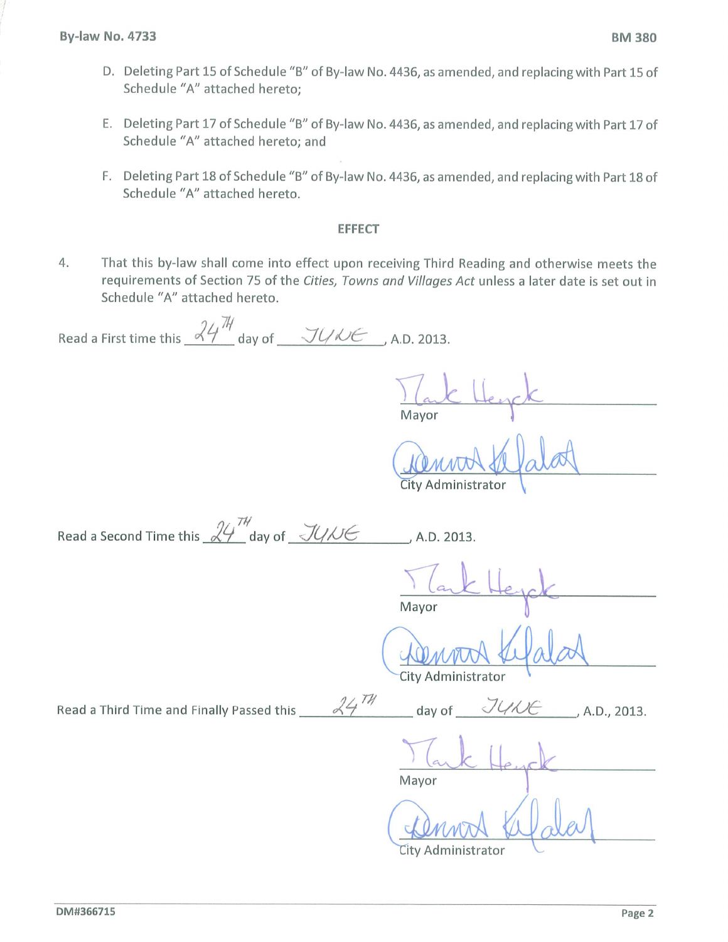- D. Deleting Part 15 of Schedule "B" of By-law No. 4436, as amended, and replacing with Part 15 of Schedule "A" attached hereto;
- E. Deleting Part 17 of Schedule "B" of By-law No. 4436, as amended, and replacing with Part 17 of Schedule "A" attached hereto; and
- F. Deleting Part 18 of Schedule "B" of By-law No. 4436, as amended, and replacing with Part 18 of Schedule "A" attached hereto.

#### **EFFECT**

That this by-law shall come into effect upon receiving Third Reading and otherwise meets the 4. requirements of Section 75 of the Cities, Towns and Villages Act unless a later date is set out in Schedule "A" attached hereto.

 $24^{74}$ 

Read a First time this  $\frac{24^{\frac{11}{14}}}{4}$  day of  $\frac{11}{100}$  A.D. 2013.

Mayor

City Administrator

| Read a Second Time this $\mathcal{U}'$ day of $\mathcal{U}/\mathcal{U}$ |  | , A.D. 2013. |
|-------------------------------------------------------------------------|--|--------------|
|                                                                         |  |              |

Mayor

day of

City Administrator

Read a Third Time and Finally Passed this

Mavor

A.D., 2013.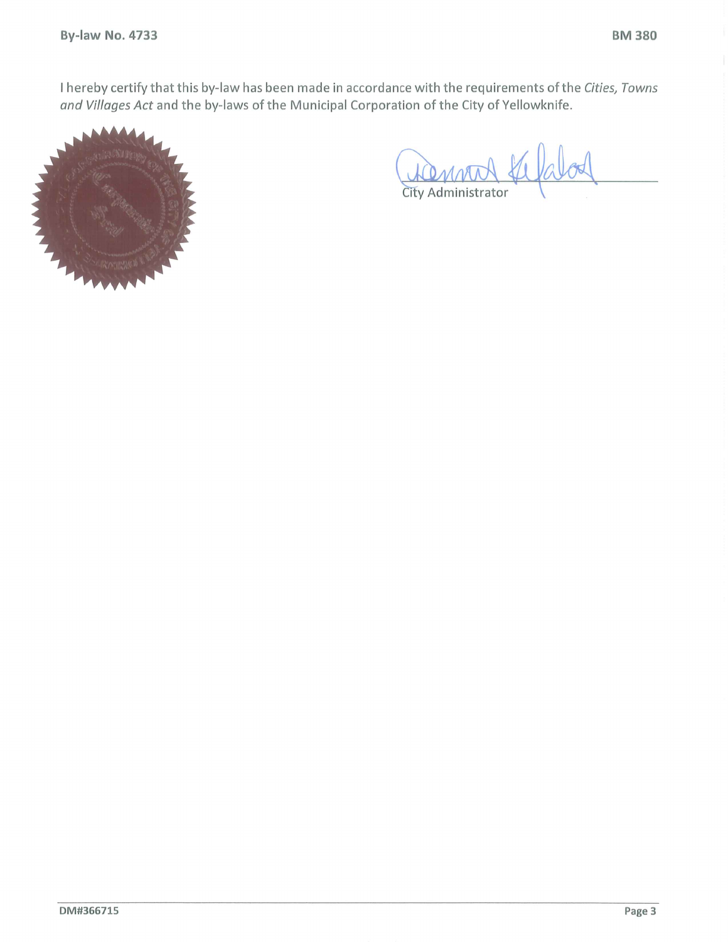I hereby certify that this by-law has been made in accordance with the requirements of the Cities, Towns and Villages Act and the by-laws of the Municipal Corporation of the City of Yellowknife.



ATRAMOL alod City Administrator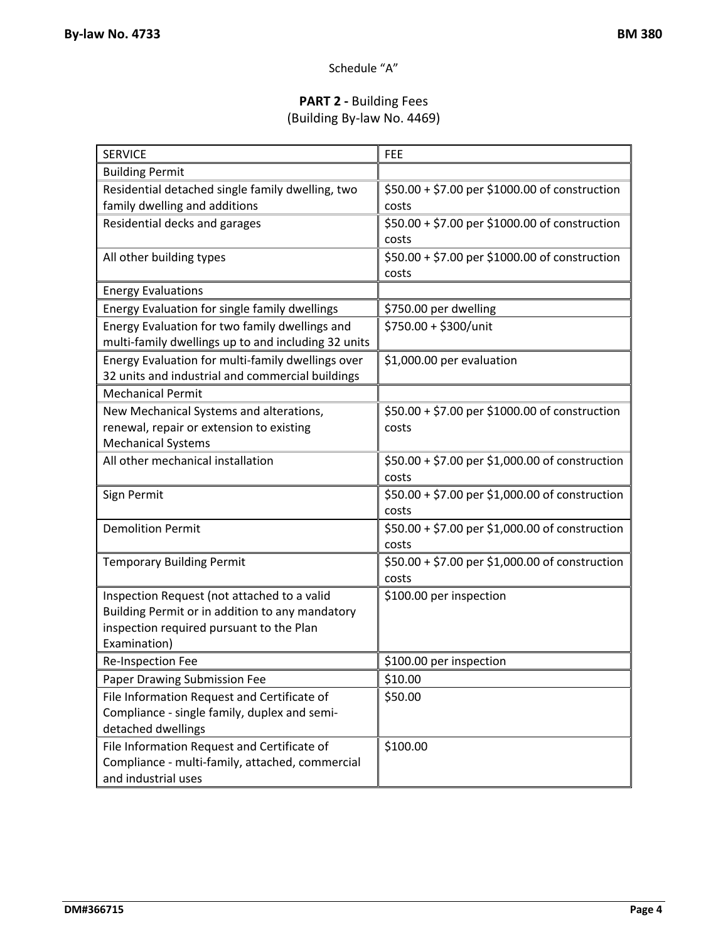# Schedule "A"

# **PART 2 ‐** Building Fees (Building By‐law No. 4469)

| <b>Building Permit</b><br>\$50.00 + \$7.00 per \$1000.00 of construction<br>Residential detached single family dwelling, two<br>family dwelling and additions<br>costs<br>\$50.00 + \$7.00 per \$1000.00 of construction<br>Residential decks and garages<br>costs<br>\$50.00 + \$7.00 per \$1000.00 of construction<br>All other building types<br>costs<br><b>Energy Evaluations</b> |
|----------------------------------------------------------------------------------------------------------------------------------------------------------------------------------------------------------------------------------------------------------------------------------------------------------------------------------------------------------------------------------------|
|                                                                                                                                                                                                                                                                                                                                                                                        |
|                                                                                                                                                                                                                                                                                                                                                                                        |
|                                                                                                                                                                                                                                                                                                                                                                                        |
|                                                                                                                                                                                                                                                                                                                                                                                        |
|                                                                                                                                                                                                                                                                                                                                                                                        |
|                                                                                                                                                                                                                                                                                                                                                                                        |
|                                                                                                                                                                                                                                                                                                                                                                                        |
|                                                                                                                                                                                                                                                                                                                                                                                        |
| Energy Evaluation for single family dwellings<br>\$750.00 per dwelling                                                                                                                                                                                                                                                                                                                 |
| \$750.00 + \$300/unit<br>Energy Evaluation for two family dwellings and                                                                                                                                                                                                                                                                                                                |
| multi-family dwellings up to and including 32 units                                                                                                                                                                                                                                                                                                                                    |
| Energy Evaluation for multi-family dwellings over<br>\$1,000.00 per evaluation                                                                                                                                                                                                                                                                                                         |
| 32 units and industrial and commercial buildings                                                                                                                                                                                                                                                                                                                                       |
| <b>Mechanical Permit</b>                                                                                                                                                                                                                                                                                                                                                               |
| New Mechanical Systems and alterations,<br>\$50.00 + \$7.00 per \$1000.00 of construction                                                                                                                                                                                                                                                                                              |
| renewal, repair or extension to existing<br>costs                                                                                                                                                                                                                                                                                                                                      |
| <b>Mechanical Systems</b>                                                                                                                                                                                                                                                                                                                                                              |
| All other mechanical installation<br>\$50.00 + \$7.00 per \$1,000.00 of construction                                                                                                                                                                                                                                                                                                   |
| costs                                                                                                                                                                                                                                                                                                                                                                                  |
| \$50.00 + \$7.00 per \$1,000.00 of construction<br>Sign Permit                                                                                                                                                                                                                                                                                                                         |
| costs                                                                                                                                                                                                                                                                                                                                                                                  |
| <b>Demolition Permit</b><br>\$50.00 + \$7.00 per \$1,000.00 of construction                                                                                                                                                                                                                                                                                                            |
| costs                                                                                                                                                                                                                                                                                                                                                                                  |
| \$50.00 + \$7.00 per \$1,000.00 of construction<br><b>Temporary Building Permit</b>                                                                                                                                                                                                                                                                                                    |
| costs                                                                                                                                                                                                                                                                                                                                                                                  |
| Inspection Request (not attached to a valid<br>\$100.00 per inspection                                                                                                                                                                                                                                                                                                                 |
| Building Permit or in addition to any mandatory                                                                                                                                                                                                                                                                                                                                        |
| inspection required pursuant to the Plan<br>Examination)                                                                                                                                                                                                                                                                                                                               |
|                                                                                                                                                                                                                                                                                                                                                                                        |
| \$100.00 per inspection<br><b>Re-Inspection Fee</b>                                                                                                                                                                                                                                                                                                                                    |
| \$10.00<br>Paper Drawing Submission Fee                                                                                                                                                                                                                                                                                                                                                |
| File Information Request and Certificate of<br>\$50.00                                                                                                                                                                                                                                                                                                                                 |
| Compliance - single family, duplex and semi-<br>detached dwellings                                                                                                                                                                                                                                                                                                                     |
| File Information Request and Certificate of<br>\$100.00                                                                                                                                                                                                                                                                                                                                |
| Compliance - multi-family, attached, commercial                                                                                                                                                                                                                                                                                                                                        |
| and industrial uses                                                                                                                                                                                                                                                                                                                                                                    |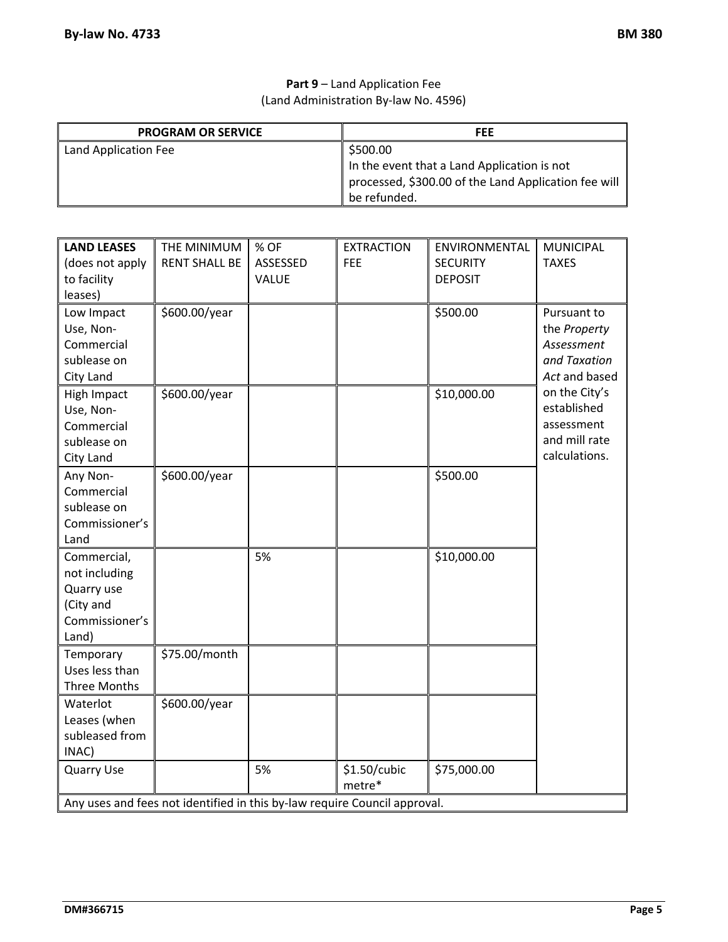### **Part 9** – Land Application Fee (Land Administration By‐law No. 4596)

| <b>PROGRAM OR SERVICE</b> | <b>FEE</b>                                           |
|---------------------------|------------------------------------------------------|
| Land Application Fee      | \$500.00                                             |
|                           | In the event that a Land Application is not          |
|                           | processed, \$300.00 of the Land Application fee will |
|                           | be refunded.                                         |

| <b>LAND LEASES</b><br>(does not apply<br>to facility<br>leases)                    | THE MINIMUM<br><b>RENT SHALL BE</b>                                       | % OF<br>ASSESSED<br>VALUE | <b>EXTRACTION</b><br><b>FEE</b> | ENVIRONMENTAL<br><b>SECURITY</b><br><b>DEPOSIT</b> | <b>MUNICIPAL</b><br><b>TAXES</b>                                             |
|------------------------------------------------------------------------------------|---------------------------------------------------------------------------|---------------------------|---------------------------------|----------------------------------------------------|------------------------------------------------------------------------------|
| Low Impact<br>Use, Non-<br>Commercial<br>sublease on<br>City Land                  | \$600.00/year                                                             |                           |                                 | \$500.00                                           | Pursuant to<br>the Property<br>Assessment<br>and Taxation<br>Act and based   |
| High Impact<br>Use, Non-<br>Commercial<br>sublease on<br>City Land                 | \$600.00/year                                                             |                           |                                 | \$10,000.00                                        | on the City's<br>established<br>assessment<br>and mill rate<br>calculations. |
| Any Non-<br>Commercial<br>sublease on<br>Commissioner's<br>Land                    | \$600.00/year                                                             |                           |                                 | \$500.00                                           |                                                                              |
| Commercial,<br>not including<br>Quarry use<br>(City and<br>Commissioner's<br>Land) |                                                                           | 5%                        |                                 | \$10,000.00                                        |                                                                              |
| Temporary<br>Uses less than<br>Three Months                                        | \$75.00/month                                                             |                           |                                 |                                                    |                                                                              |
| Waterlot<br>Leases (when<br>subleased from<br>INAC)                                | \$600.00/year                                                             |                           |                                 |                                                    |                                                                              |
| <b>Quarry Use</b>                                                                  |                                                                           | 5%                        | \$1.50/cubic<br>metre*          | \$75,000.00                                        |                                                                              |
|                                                                                    | Any uses and fees not identified in this by-law require Council approval. |                           |                                 |                                                    |                                                                              |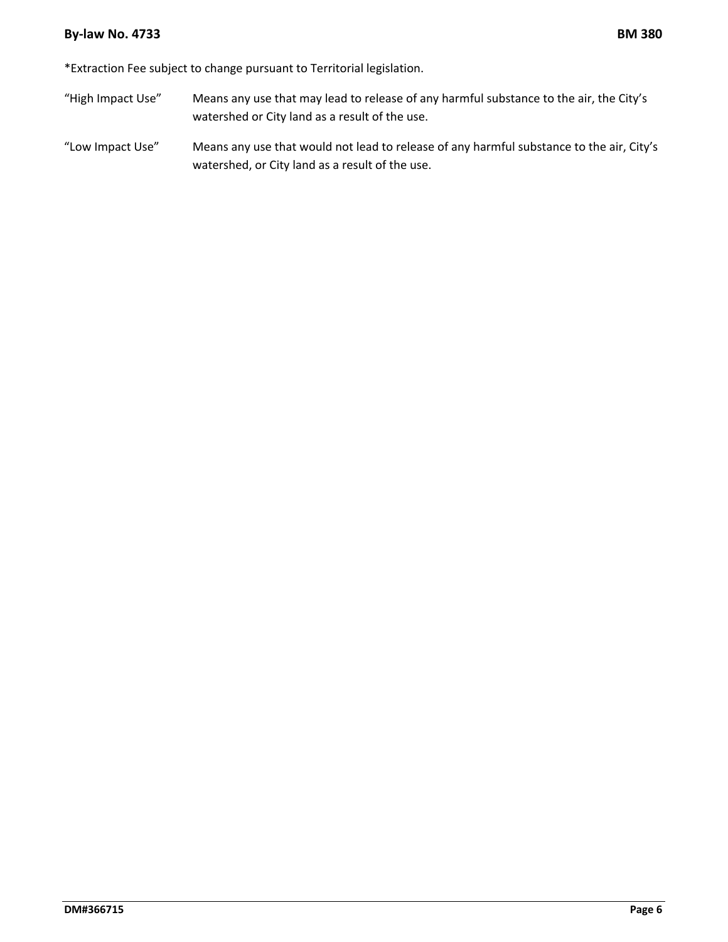#### **By‐law No. 4733 BM 380**

\*Extraction Fee subject to change pursuant to Territorial legislation.

- "High Impact Use" Means any use that may lead to release of any harmful substance to the air, the City's watershed or City land as a result of the use.
- "Low Impact Use" Means any use that would not lead to release of any harmful substance to the air, City's watershed, or City land as a result of the use.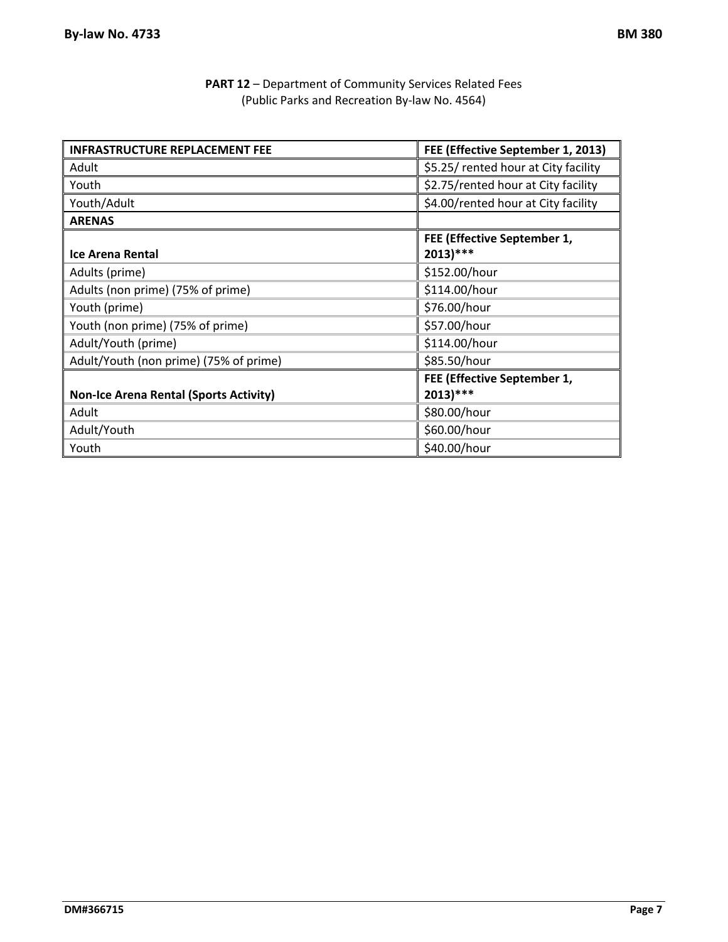| <b>PART 12</b> - Department of Community Services Related Fees |  |
|----------------------------------------------------------------|--|
| (Public Parks and Recreation By-law No. 4564)                  |  |

| <b>INFRASTRUCTURE REPLACEMENT FEE</b>         | FEE (Effective September 1, 2013)          |
|-----------------------------------------------|--------------------------------------------|
| Adult                                         | \$5.25/ rented hour at City facility       |
| Youth                                         | \$2.75/rented hour at City facility        |
| Youth/Adult                                   | \$4.00/rented hour at City facility        |
| <b>ARENAS</b>                                 |                                            |
| <b>Ice Arena Rental</b>                       | FEE (Effective September 1,<br>$2013$ )*** |
| Adults (prime)                                | \$152.00/hour                              |
| Adults (non prime) (75% of prime)             | \$114.00/hour                              |
| Youth (prime)                                 | \$76.00/hour                               |
| Youth (non prime) (75% of prime)              | \$57.00/hour                               |
| Adult/Youth (prime)                           | \$114.00/hour                              |
| Adult/Youth (non prime) (75% of prime)        | \$85.50/hour                               |
| <b>Non-Ice Arena Rental (Sports Activity)</b> | FEE (Effective September 1,<br>$2013$ )*** |
| Adult                                         | \$80.00/hour                               |
| Adult/Youth                                   | \$60.00/hour                               |
| Youth                                         | \$40.00/hour                               |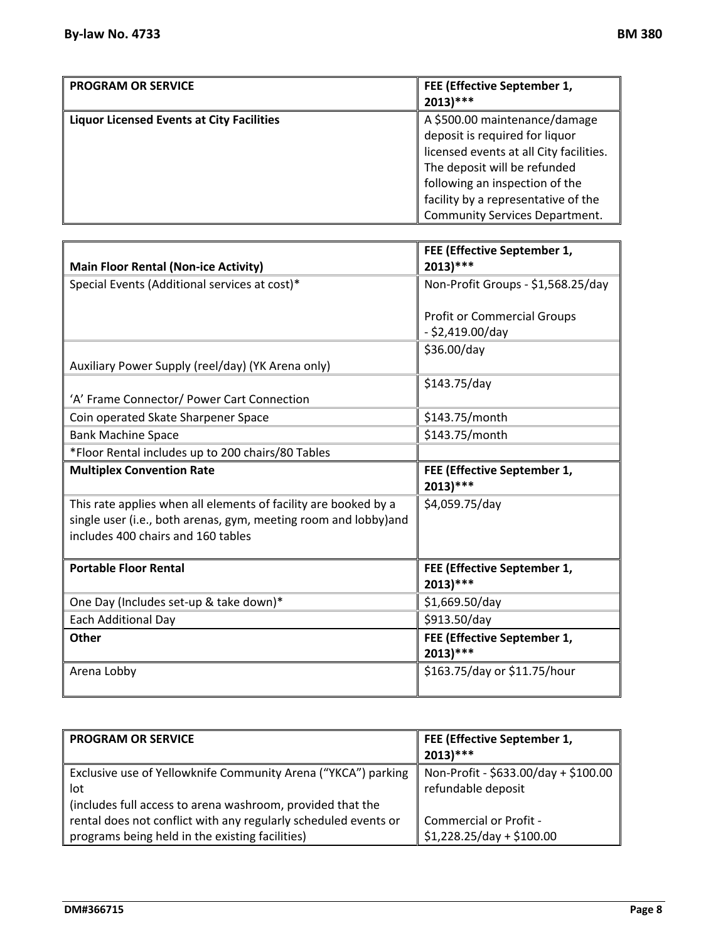| <b>PROGRAM OR SERVICE</b>                        | FEE (Effective September 1,<br>$2013$ )***                                                                                                                                                                                                                   |
|--------------------------------------------------|--------------------------------------------------------------------------------------------------------------------------------------------------------------------------------------------------------------------------------------------------------------|
| <b>Liquor Licensed Events at City Facilities</b> | A \$500.00 maintenance/damage<br>deposit is required for liquor<br>licensed events at all City facilities.<br>The deposit will be refunded<br>following an inspection of the<br>facility by a representative of the<br><b>Community Services Department.</b> |

| <b>Main Floor Rental (Non-ice Activity)</b>                                                                                                                              | FEE (Effective September 1,<br>$2013$ )***               |
|--------------------------------------------------------------------------------------------------------------------------------------------------------------------------|----------------------------------------------------------|
| Special Events (Additional services at cost)*                                                                                                                            | Non-Profit Groups - \$1,568.25/day                       |
|                                                                                                                                                                          | <b>Profit or Commercial Groups</b><br>$-$ \$2,419.00/day |
| Auxiliary Power Supply (reel/day) (YK Arena only)                                                                                                                        | \$36.00/day                                              |
| 'A' Frame Connector/ Power Cart Connection                                                                                                                               | \$143.75/day                                             |
| Coin operated Skate Sharpener Space                                                                                                                                      | \$143.75/month                                           |
| <b>Bank Machine Space</b>                                                                                                                                                | \$143.75/month                                           |
| *Floor Rental includes up to 200 chairs/80 Tables                                                                                                                        |                                                          |
| <b>Multiplex Convention Rate</b>                                                                                                                                         | FEE (Effective September 1,<br>$2013$ )***               |
| This rate applies when all elements of facility are booked by a<br>single user (i.e., both arenas, gym, meeting room and lobby)and<br>includes 400 chairs and 160 tables | \$4,059.75/day                                           |
| <b>Portable Floor Rental</b>                                                                                                                                             | FEE (Effective September 1,<br>$2013$ )***               |
| One Day (Includes set-up & take down)*                                                                                                                                   | \$1,669.50/day                                           |
| Each Additional Day                                                                                                                                                      | \$913.50/day                                             |
| <b>Other</b>                                                                                                                                                             | FEE (Effective September 1,<br>$2013$ )***               |
| Arena Lobby                                                                                                                                                              | \$163.75/day or \$11.75/hour                             |

| <b>PROGRAM OR SERVICE</b>                                       | FEE (Effective September 1,<br>$2013$ <sup>***</sup> |
|-----------------------------------------------------------------|------------------------------------------------------|
| Exclusive use of Yellowknife Community Arena ("YKCA") parking   | Non-Profit - \$633.00/day + \$100.00                 |
| lot                                                             | refundable deposit                                   |
| (includes full access to arena washroom, provided that the      |                                                      |
| rental does not conflict with any regularly scheduled events or | Commercial or Profit -                               |
| programs being held in the existing facilities)                 | $$1,228.25/day + $100.00$                            |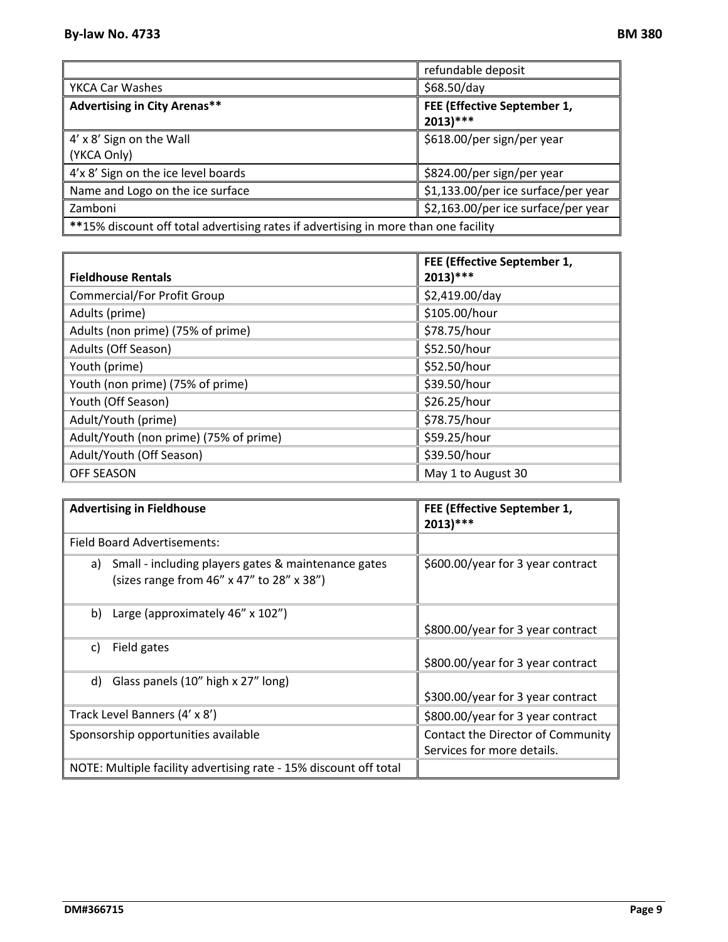|                                                                                     | refundable deposit                         |  |
|-------------------------------------------------------------------------------------|--------------------------------------------|--|
| YKCA Car Washes                                                                     | \$68.50/day                                |  |
| <b>Advertising in City Arenas**</b>                                                 | FEE (Effective September 1,<br>$2013$ )*** |  |
| 4' x 8' Sign on the Wall<br>(YKCA Only)                                             | \$618.00/per sign/per year                 |  |
| 4'x 8' Sign on the ice level boards                                                 | \$824.00/per sign/per year                 |  |
| Name and Logo on the ice surface                                                    | \$1,133.00/per ice surface/per year        |  |
| Zamboni                                                                             | \$2,163.00/per ice surface/per year        |  |
| **15% discount off total advertising rates if advertising in more than one facility |                                            |  |

|                                        | FEE (Effective September 1, |
|----------------------------------------|-----------------------------|
| <b>Fieldhouse Rentals</b>              | $2013$ )***                 |
| <b>Commercial/For Profit Group</b>     | \$2,419.00/day              |
| Adults (prime)                         | \$105.00/hour               |
| Adults (non prime) (75% of prime)      | \$78.75/hour                |
| Adults (Off Season)                    | \$52.50/hour                |
| Youth (prime)                          | \$52.50/hour                |
| Youth (non prime) (75% of prime)       | \$39.50/hour                |
| Youth (Off Season)                     | \$26.25/hour                |
| Adult/Youth (prime)                    | \$78.75/hour                |
| Adult/Youth (non prime) (75% of prime) | \$59.25/hour                |
| Adult/Youth (Off Season)               | \$39.50/hour                |
| <b>OFF SEASON</b>                      | May 1 to August 30          |

| <b>Advertising in Fieldhouse</b>                                                                       | FEE (Effective September 1,<br>$2013$ )***                      |
|--------------------------------------------------------------------------------------------------------|-----------------------------------------------------------------|
| Field Board Advertisements:                                                                            |                                                                 |
| Small - including players gates & maintenance gates<br>a)<br>(sizes range from 46" x 47" to 28" x 38") | \$600.00/year for 3 year contract                               |
| Large (approximately 46" x 102")<br>b)                                                                 | \$800.00/year for 3 year contract                               |
| Field gates<br>C)                                                                                      | \$800.00/year for 3 year contract                               |
| Glass panels (10" high x 27" long)<br>d)                                                               |                                                                 |
|                                                                                                        | \$300.00/year for 3 year contract                               |
| Track Level Banners (4' x 8')                                                                          | \$800.00/year for 3 year contract                               |
| Sponsorship opportunities available                                                                    | Contact the Director of Community<br>Services for more details. |
| NOTE: Multiple facility advertising rate - 15% discount off total                                      |                                                                 |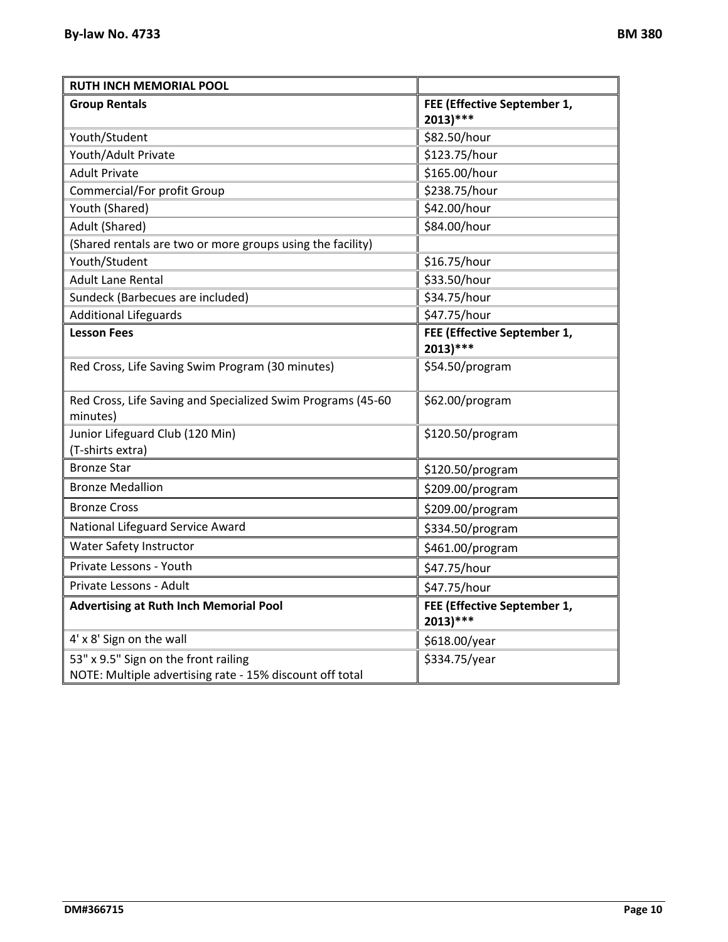| <b>RUTH INCH MEMORIAL POOL</b>                                                                   |                                            |
|--------------------------------------------------------------------------------------------------|--------------------------------------------|
| <b>Group Rentals</b>                                                                             | FEE (Effective September 1,<br>$2013$ )*** |
| Youth/Student                                                                                    | \$82.50/hour                               |
| Youth/Adult Private                                                                              | \$123.75/hour                              |
| <b>Adult Private</b>                                                                             | \$165.00/hour                              |
| Commercial/For profit Group                                                                      | \$238.75/hour                              |
| Youth (Shared)                                                                                   | \$42.00/hour                               |
| Adult (Shared)                                                                                   | \$84.00/hour                               |
| (Shared rentals are two or more groups using the facility)                                       |                                            |
| Youth/Student                                                                                    | \$16.75/hour                               |
| <b>Adult Lane Rental</b>                                                                         | \$33.50/hour                               |
| Sundeck (Barbecues are included)                                                                 | \$34.75/hour                               |
| <b>Additional Lifeguards</b>                                                                     | \$47.75/hour                               |
| <b>Lesson Fees</b>                                                                               | FEE (Effective September 1,<br>$2013$ )*** |
| Red Cross, Life Saving Swim Program (30 minutes)                                                 | \$54.50/program                            |
| Red Cross, Life Saving and Specialized Swim Programs (45-60<br>minutes)                          | \$62.00/program                            |
| Junior Lifeguard Club (120 Min)<br>(T-shirts extra)                                              | \$120.50/program                           |
| <b>Bronze Star</b>                                                                               | \$120.50/program                           |
| <b>Bronze Medallion</b>                                                                          | \$209.00/program                           |
| <b>Bronze Cross</b>                                                                              | \$209.00/program                           |
| National Lifeguard Service Award                                                                 | \$334.50/program                           |
| <b>Water Safety Instructor</b>                                                                   | \$461.00/program                           |
| Private Lessons - Youth                                                                          | \$47.75/hour                               |
| Private Lessons - Adult                                                                          | \$47.75/hour                               |
| <b>Advertising at Ruth Inch Memorial Pool</b>                                                    | FEE (Effective September 1,<br>$2013)***$  |
| 4' x 8' Sign on the wall                                                                         | \$618.00/year                              |
| 53" x 9.5" Sign on the front railing<br>NOTE: Multiple advertising rate - 15% discount off total | \$334.75/year                              |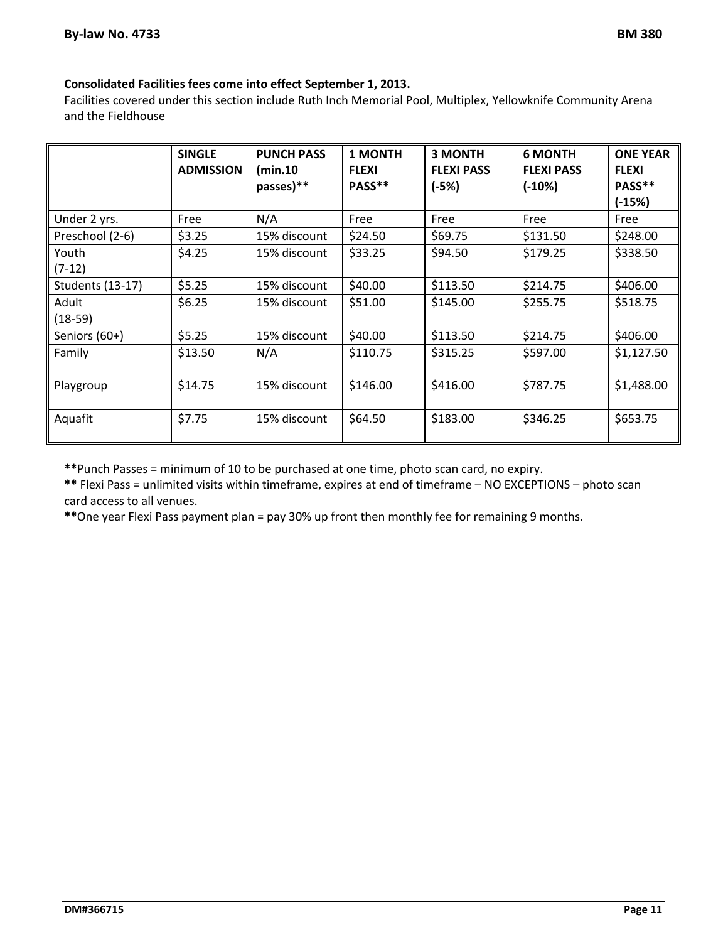#### **Consolidated Facilities fees come into effect September 1, 2013.**

Facilities covered under this section include Ruth Inch Memorial Pool, Multiplex, Yellowknife Community Arena and the Fieldhouse

|                         | <b>SINGLE</b><br><b>ADMISSION</b> | <b>PUNCH PASS</b><br>(min.10)<br>passes)** | <b>1 MONTH</b><br><b>FLEXI</b><br>PASS** | <b>3 MONTH</b><br><b>FLEXI PASS</b><br>$(-5%)$ | <b>6 MONTH</b><br><b>FLEXI PASS</b><br>$(-10%)$ | <b>ONE YEAR</b><br><b>FLEXI</b><br>PASS**<br>$(-15%)$ |
|-------------------------|-----------------------------------|--------------------------------------------|------------------------------------------|------------------------------------------------|-------------------------------------------------|-------------------------------------------------------|
| Under 2 yrs.            | Free                              | N/A                                        | Free                                     | Free                                           | Free                                            | Free                                                  |
| Preschool (2-6)         | \$3.25                            | 15% discount                               | \$24.50                                  | \$69.75                                        | \$131.50                                        | \$248.00                                              |
| Youth<br>$(7-12)$       | \$4.25                            | 15% discount                               | \$33.25                                  | \$94.50                                        | \$179.25                                        | \$338.50                                              |
| <b>Students (13-17)</b> | \$5.25                            | 15% discount                               | \$40.00                                  | \$113.50                                       | \$214.75                                        | \$406.00                                              |
| Adult<br>$(18-59)$      | \$6.25                            | 15% discount                               | \$51.00                                  | \$145.00                                       | \$255.75                                        | \$518.75                                              |
| Seniors (60+)           | \$5.25                            | 15% discount                               | \$40.00                                  | \$113.50                                       | \$214.75                                        | \$406.00                                              |
| Family                  | \$13.50                           | N/A                                        | \$110.75                                 | \$315.25                                       | \$597.00                                        | \$1,127.50                                            |
| Playgroup               | \$14.75                           | 15% discount                               | \$146.00                                 | \$416.00                                       | \$787.75                                        | \$1,488.00                                            |
| Aquafit                 | \$7.75                            | 15% discount                               | \$64.50                                  | \$183.00                                       | \$346.25                                        | \$653.75                                              |

**\*\***Punch Passes = minimum of 10 to be purchased at one time, photo scan card, no expiry.

**\*\*** Flexi Pass = unlimited visits within timeframe, expires at end of timeframe – NO EXCEPTIONS – photo scan card access to all venues.

**\*\***One year Flexi Pass payment plan = pay 30% up front then monthly fee for remaining 9 months.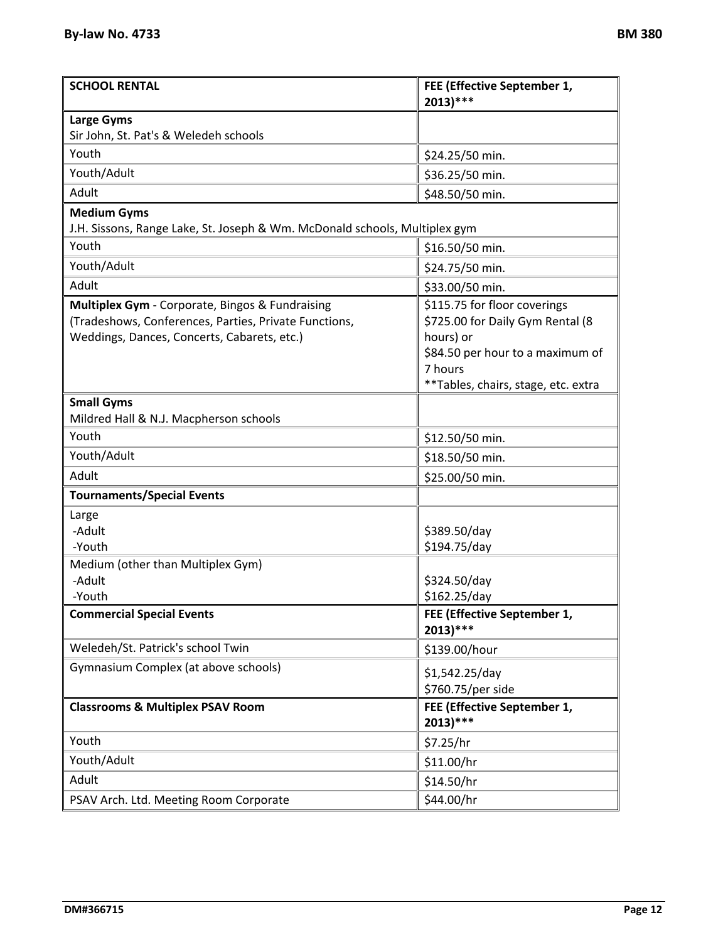| <b>SCHOOL RENTAL</b>                                                                                                                                    | FEE (Effective September 1,<br>$2013$ )***                                                                                   |
|---------------------------------------------------------------------------------------------------------------------------------------------------------|------------------------------------------------------------------------------------------------------------------------------|
| <b>Large Gyms</b>                                                                                                                                       |                                                                                                                              |
| Sir John, St. Pat's & Weledeh schools                                                                                                                   |                                                                                                                              |
| Youth                                                                                                                                                   | \$24.25/50 min.                                                                                                              |
| Youth/Adult                                                                                                                                             | \$36.25/50 min.                                                                                                              |
| Adult                                                                                                                                                   | \$48.50/50 min.                                                                                                              |
| <b>Medium Gyms</b>                                                                                                                                      |                                                                                                                              |
| J.H. Sissons, Range Lake, St. Joseph & Wm. McDonald schools, Multiplex gym                                                                              |                                                                                                                              |
| Youth                                                                                                                                                   | \$16.50/50 min.                                                                                                              |
| Youth/Adult                                                                                                                                             | \$24.75/50 min.                                                                                                              |
| Adult                                                                                                                                                   | \$33.00/50 min.                                                                                                              |
| Multiplex Gym - Corporate, Bingos & Fundraising<br>(Tradeshows, Conferences, Parties, Private Functions,<br>Weddings, Dances, Concerts, Cabarets, etc.) | \$115.75 for floor coverings<br>\$725.00 for Daily Gym Rental (8<br>hours) or<br>\$84.50 per hour to a maximum of<br>7 hours |
|                                                                                                                                                         | **Tables, chairs, stage, etc. extra                                                                                          |
| <b>Small Gyms</b>                                                                                                                                       |                                                                                                                              |
| Mildred Hall & N.J. Macpherson schools                                                                                                                  |                                                                                                                              |
| Youth                                                                                                                                                   | \$12.50/50 min.                                                                                                              |
| Youth/Adult                                                                                                                                             | \$18.50/50 min.                                                                                                              |
| Adult                                                                                                                                                   | \$25.00/50 min.                                                                                                              |
| <b>Tournaments/Special Events</b>                                                                                                                       |                                                                                                                              |
| Large                                                                                                                                                   |                                                                                                                              |
| -Adult                                                                                                                                                  | \$389.50/day                                                                                                                 |
| -Youth                                                                                                                                                  | \$194.75/day                                                                                                                 |
| Medium (other than Multiplex Gym)                                                                                                                       |                                                                                                                              |
| -Adult<br>-Youth                                                                                                                                        | \$324.50/day<br>\$162.25/day                                                                                                 |
| <b>Commercial Special Events</b>                                                                                                                        | FEE (Effective September 1,                                                                                                  |
|                                                                                                                                                         | $2013$ )***                                                                                                                  |
| Weledeh/St. Patrick's school Twin                                                                                                                       | \$139.00/hour                                                                                                                |
| Gymnasium Complex (at above schools)                                                                                                                    | \$1,542.25/day                                                                                                               |
|                                                                                                                                                         | \$760.75/per side                                                                                                            |
| <b>Classrooms &amp; Multiplex PSAV Room</b>                                                                                                             | FEE (Effective September 1,<br>$2013)***$                                                                                    |
| Youth                                                                                                                                                   | \$7.25/hr                                                                                                                    |
| Youth/Adult                                                                                                                                             | \$11.00/hr                                                                                                                   |
| Adult                                                                                                                                                   | \$14.50/hr                                                                                                                   |
| PSAV Arch. Ltd. Meeting Room Corporate                                                                                                                  | \$44.00/hr                                                                                                                   |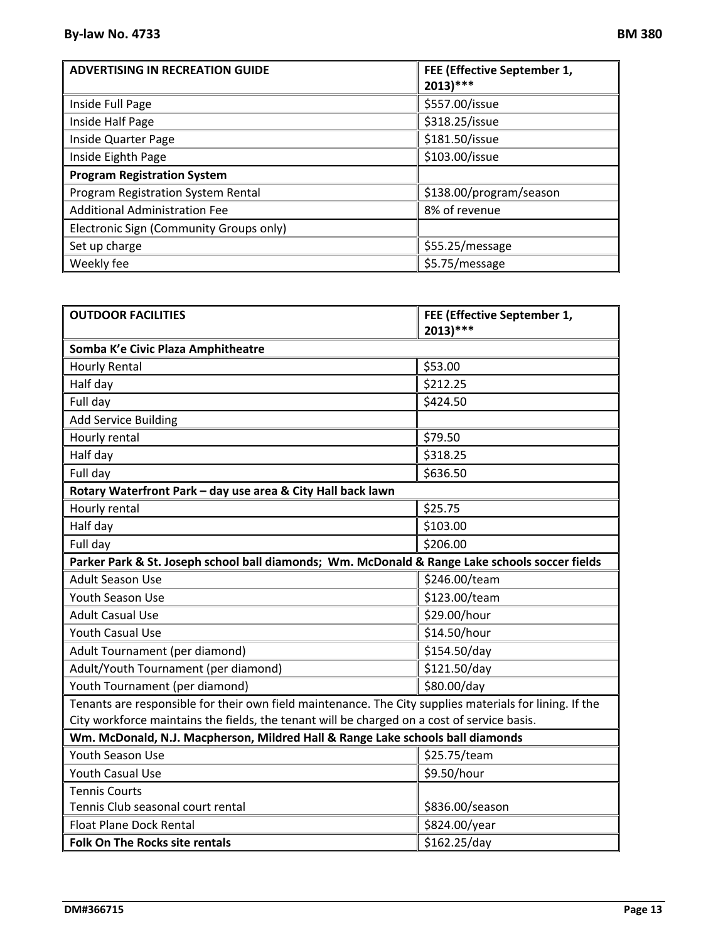| <b>ADVERTISING IN RECREATION GUIDE</b>  | FEE (Effective September 1,<br>$2013$ )*** |
|-----------------------------------------|--------------------------------------------|
| Inside Full Page                        | \$557.00/issue                             |
| Inside Half Page                        | \$318.25/issue                             |
| Inside Quarter Page                     | \$181.50/issue                             |
| Inside Eighth Page                      | \$103.00/issue                             |
| <b>Program Registration System</b>      |                                            |
| Program Registration System Rental      | \$138.00/program/season                    |
| <b>Additional Administration Fee</b>    | 8% of revenue                              |
| Electronic Sign (Community Groups only) |                                            |
| Set up charge                           | \$55.25/message                            |
| Weekly fee                              | \$5.75/message                             |

| <b>OUTDOOR FACILITIES</b>                                                                               | FEE (Effective September 1,<br>$2013$ <sup>***</sup> |  |  |
|---------------------------------------------------------------------------------------------------------|------------------------------------------------------|--|--|
|                                                                                                         |                                                      |  |  |
| Somba K'e Civic Plaza Amphitheatre                                                                      |                                                      |  |  |
| <b>Hourly Rental</b>                                                                                    | \$53.00                                              |  |  |
| Half day                                                                                                | \$212.25                                             |  |  |
| Full day                                                                                                | \$424.50                                             |  |  |
| <b>Add Service Building</b>                                                                             |                                                      |  |  |
| Hourly rental                                                                                           | \$79.50                                              |  |  |
| Half day                                                                                                | \$318.25                                             |  |  |
| Full day                                                                                                | \$636.50                                             |  |  |
| Rotary Waterfront Park - day use area & City Hall back lawn                                             |                                                      |  |  |
| Hourly rental                                                                                           | \$25.75                                              |  |  |
| Half day                                                                                                | \$103.00                                             |  |  |
| Full day                                                                                                | \$206.00                                             |  |  |
| Parker Park & St. Joseph school ball diamonds; Wm. McDonald & Range Lake schools soccer fields          |                                                      |  |  |
| <b>Adult Season Use</b>                                                                                 | \$246.00/team                                        |  |  |
| Youth Season Use                                                                                        | \$123.00/team                                        |  |  |
| <b>Adult Casual Use</b>                                                                                 | \$29.00/hour                                         |  |  |
| <b>Youth Casual Use</b>                                                                                 | \$14.50/hour                                         |  |  |
| Adult Tournament (per diamond)                                                                          | \$154.50/day                                         |  |  |
| Adult/Youth Tournament (per diamond)                                                                    | \$121.50/day                                         |  |  |
| Youth Tournament (per diamond)                                                                          | \$80.00/day                                          |  |  |
| Tenants are responsible for their own field maintenance. The City supplies materials for lining. If the |                                                      |  |  |
| City workforce maintains the fields, the tenant will be charged on a cost of service basis.             |                                                      |  |  |
| Wm. McDonald, N.J. Macpherson, Mildred Hall & Range Lake schools ball diamonds                          |                                                      |  |  |
| Youth Season Use                                                                                        | \$25.75/team                                         |  |  |
| <b>Youth Casual Use</b>                                                                                 | \$9.50/hour                                          |  |  |
| <b>Tennis Courts</b>                                                                                    |                                                      |  |  |
| Tennis Club seasonal court rental                                                                       | \$836.00/season                                      |  |  |
| <b>Float Plane Dock Rental</b>                                                                          | \$824.00/year                                        |  |  |
| <b>Folk On The Rocks site rentals</b>                                                                   | \$162.25/day                                         |  |  |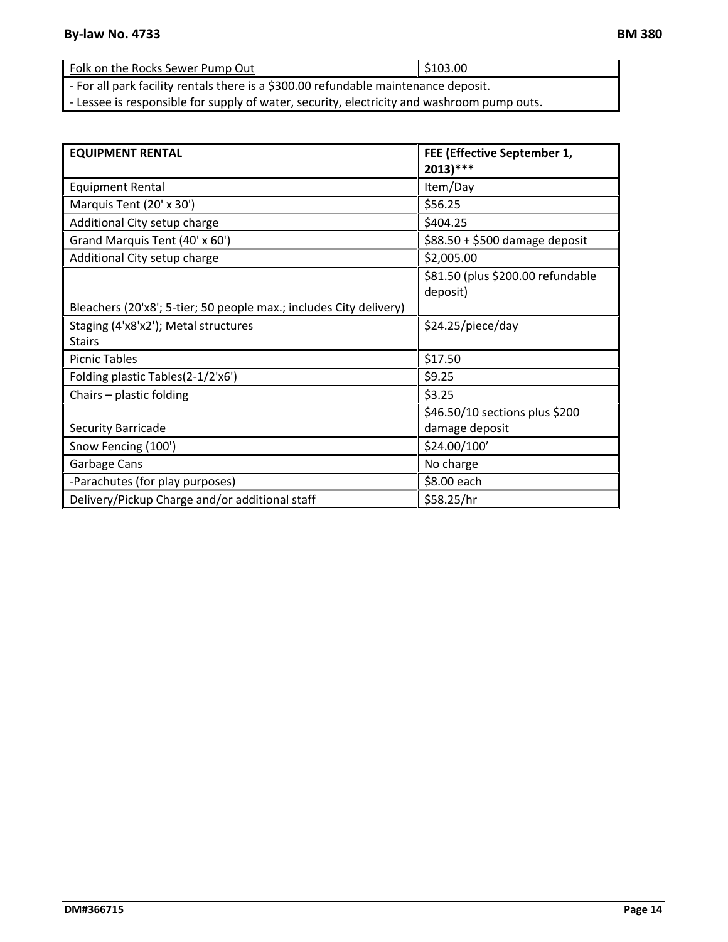| Folk on the Rocks Sewer Pump Out                                                    | $\parallel$ \$103.00 |
|-------------------------------------------------------------------------------------|----------------------|
| - For all park facility rentals there is a \$300.00 refundable maintenance deposit. |                      |

‐ Lessee is responsible for supply of water, security, electricity and washroom pump outs.

| <b>EQUIPMENT RENTAL</b>                                            | FEE (Effective September 1,<br>$2013$ )***    |
|--------------------------------------------------------------------|-----------------------------------------------|
| <b>Equipment Rental</b>                                            | Item/Day                                      |
| Marquis Tent (20' x 30')                                           | \$56.25                                       |
| Additional City setup charge                                       | \$404.25                                      |
| Grand Marquis Tent (40' x 60')                                     | $$88.50 + $500$ damage deposit                |
| Additional City setup charge                                       | \$2,005.00                                    |
|                                                                    | \$81.50 (plus \$200.00 refundable<br>deposit) |
| Bleachers (20'x8'; 5-tier; 50 people max.; includes City delivery) |                                               |
| Staging (4'x8'x2'); Metal structures                               | \$24.25/piece/day                             |
| <b>Stairs</b>                                                      |                                               |
| <b>Picnic Tables</b>                                               | \$17.50                                       |
| Folding plastic Tables(2-1/2'x6')                                  | \$9.25                                        |
| Chairs - plastic folding                                           | \$3.25                                        |
|                                                                    | \$46.50/10 sections plus \$200                |
| Security Barricade                                                 | damage deposit                                |
| Snow Fencing (100')                                                | \$24.00/100'                                  |
| Garbage Cans                                                       | No charge                                     |
| -Parachutes (for play purposes)                                    | \$8.00 each                                   |
| Delivery/Pickup Charge and/or additional staff                     | \$58.25/hr                                    |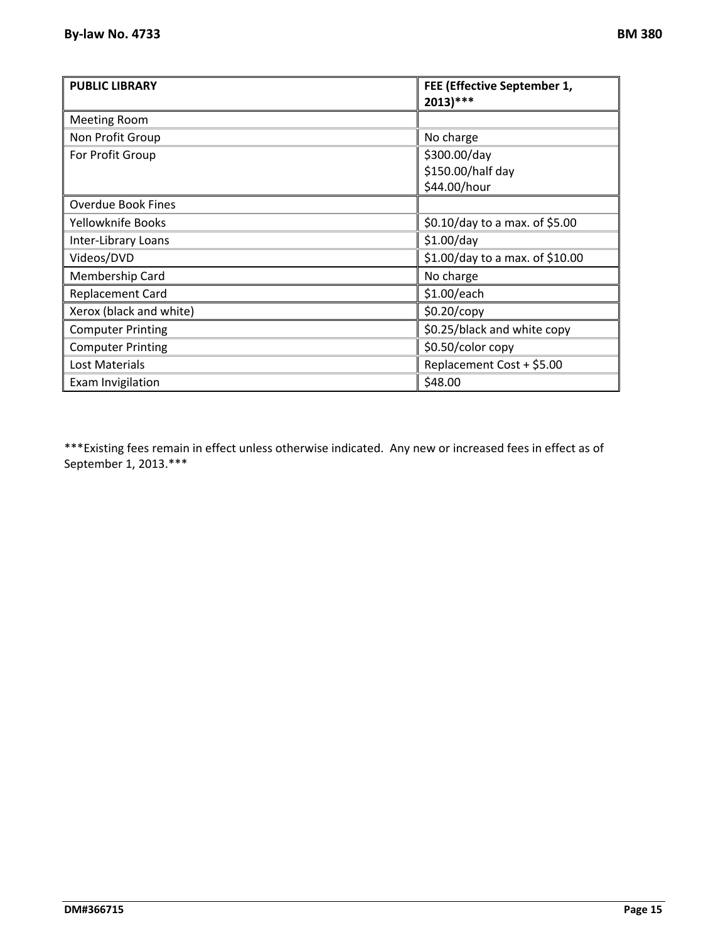| <b>PUBLIC LIBRARY</b>     | FEE (Effective September 1,<br>$2013$ )*** |
|---------------------------|--------------------------------------------|
| <b>Meeting Room</b>       |                                            |
| Non Profit Group          | No charge                                  |
| For Profit Group          | \$300.00/day                               |
|                           | \$150.00/half day                          |
|                           | \$44.00/hour                               |
| <b>Overdue Book Fines</b> |                                            |
| Yellowknife Books         | \$0.10/day to a max. of \$5.00             |
| Inter-Library Loans       | $$1.00$ /day                               |
| Videos/DVD                | \$1.00/day to a max. of \$10.00            |
| Membership Card           | No charge                                  |
| <b>Replacement Card</b>   | \$1.00/each                                |
| Xerox (black and white)   | \$0.20/copy                                |
| <b>Computer Printing</b>  | \$0.25/black and white copy                |
| <b>Computer Printing</b>  | \$0.50/color copy                          |
| Lost Materials            | Replacement Cost + \$5.00                  |
| Exam Invigilation         | \$48.00                                    |

\*\*\*Existing fees remain in effect unless otherwise indicated. Any new or increased fees in effect as of September 1, 2013.\*\*\*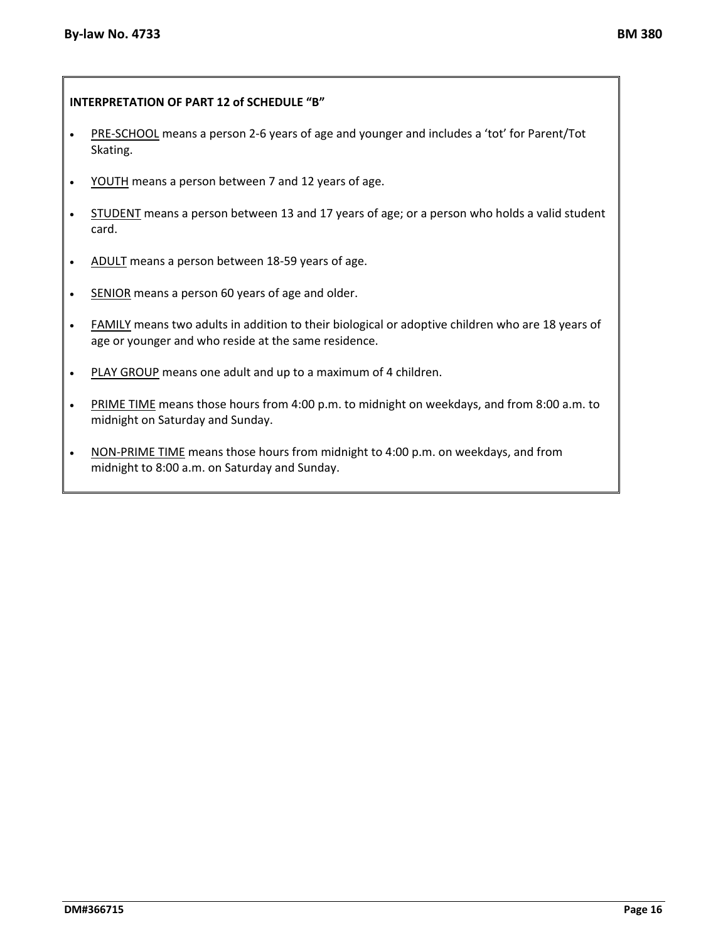#### **INTERPRETATION OF PART 12 of SCHEDULE "B"**

- PRE-SCHOOL means a person 2-6 years of age and younger and includes a 'tot' for Parent/Tot Skating.
- YOUTH means a person between 7 and 12 years of age.
- **STUDENT** means a person between 13 and 17 years of age; or a person who holds a valid student card.
- ADULT means a person between 18-59 years of age.
- SENIOR means a person 60 years of age and older.
- FAMILY means two adults in addition to their biological or adoptive children who are 18 years of age or younger and who reside at the same residence.
- PLAY GROUP means one adult and up to a maximum of 4 children.
- PRIME TIME means those hours from 4:00 p.m. to midnight on weekdays, and from 8:00 a.m. to midnight on Saturday and Sunday.
- NON-PRIME TIME means those hours from midnight to 4:00 p.m. on weekdays, and from midnight to 8:00 a.m. on Saturday and Sunday.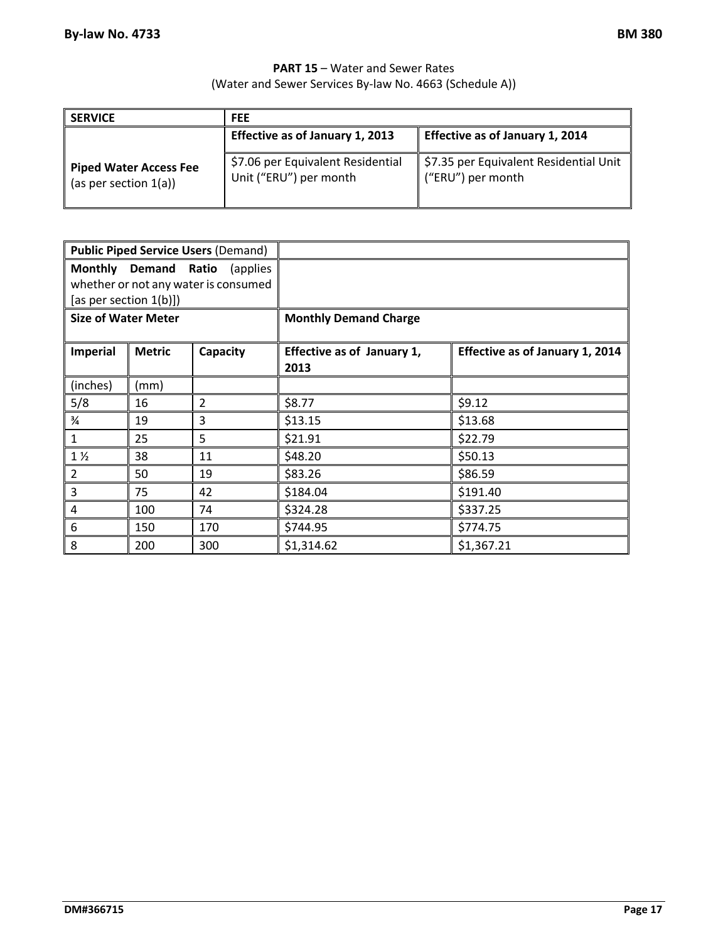#### **PART 15** – Water and Sewer Rates (Water and Sewer Services By‐law No. 4663 (Schedule A))

| <b>SERVICE</b>                                            | <b>FEE</b>                                                  |                                                             |
|-----------------------------------------------------------|-------------------------------------------------------------|-------------------------------------------------------------|
|                                                           | Effective as of January 1, 2013                             | Effective as of January 1, 2014                             |
| <b>Piped Water Access Fee</b><br>(as per section $1(a)$ ) | \$7.06 per Equivalent Residential<br>Unit ("ERU") per month | \$7.35 per Equivalent Residential Unit<br>("ERU") per month |

|                            |               | <b>Public Piped Service Users (Demand)</b> |                                    |                                        |
|----------------------------|---------------|--------------------------------------------|------------------------------------|----------------------------------------|
|                            |               | Monthly Demand Ratio (applies              |                                    |                                        |
|                            |               | whether or not any water is consumed       |                                    |                                        |
| [as per section $1(b)$ ])  |               |                                            |                                    |                                        |
| <b>Size of Water Meter</b> |               |                                            | <b>Monthly Demand Charge</b>       |                                        |
| <b>Imperial</b>            | <b>Metric</b> | Capacity                                   | Effective as of January 1,<br>2013 | <b>Effective as of January 1, 2014</b> |
| (inches)                   | (mm)          |                                            |                                    |                                        |
| 5/8                        | 16            | $\overline{2}$                             | \$8.77                             | \$9.12                                 |
| $\frac{3}{4}$              | 19            | 3                                          | \$13.15                            | \$13.68                                |
| $\mathbf{1}$               | 25            | 5                                          | \$21.91                            | \$22.79                                |
| $1\frac{1}{2}$             | 38            | 11                                         | \$48.20                            | \$50.13                                |
| $\overline{2}$             | 50            | 19                                         | \$83.26                            | \$86.59                                |
| 3                          | 75            | 42                                         | \$184.04                           | \$191.40                               |
| $\overline{4}$             | 100           | 74                                         | \$324.28                           | \$337.25                               |
| 6                          | 150           | 170                                        | \$744.95                           | \$774.75                               |
| 8                          | 200           | 300                                        | \$1,314.62                         | \$1,367.21                             |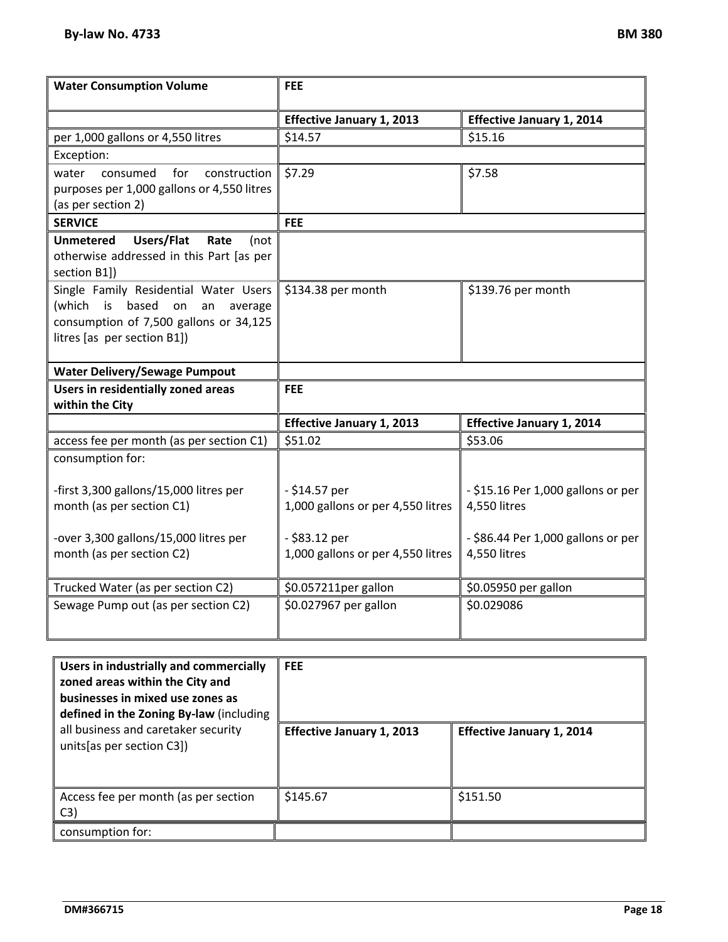| <b>Water Consumption Volume</b>                                                                                                                             | <b>FEE</b>                                           |                                                      |
|-------------------------------------------------------------------------------------------------------------------------------------------------------------|------------------------------------------------------|------------------------------------------------------|
|                                                                                                                                                             | <b>Effective January 1, 2013</b>                     | <b>Effective January 1, 2014</b>                     |
| per 1,000 gallons or 4,550 litres                                                                                                                           | \$14.57                                              | \$15.16                                              |
| Exception:                                                                                                                                                  |                                                      |                                                      |
| consumed<br>for<br>construction<br>water<br>purposes per 1,000 gallons or 4,550 litres<br>(as per section 2)                                                | \$7.29                                               | \$7.58                                               |
| <b>SERVICE</b>                                                                                                                                              | <b>FEE</b>                                           |                                                      |
| Users/Flat<br><b>Unmetered</b><br>Rate<br>(not<br>otherwise addressed in this Part [as per<br>section B1])                                                  |                                                      |                                                      |
| Single Family Residential Water Users<br>(which is<br>based<br>on<br>average<br>an<br>consumption of 7,500 gallons or 34,125<br>litres [as per section B1]) | \$134.38 per month                                   | \$139.76 per month                                   |
| <b>Water Delivery/Sewage Pumpout</b>                                                                                                                        |                                                      |                                                      |
| <b>Users in residentially zoned areas</b><br>within the City                                                                                                | <b>FEE</b>                                           |                                                      |
|                                                                                                                                                             | <b>Effective January 1, 2013</b>                     | <b>Effective January 1, 2014</b>                     |
| access fee per month (as per section C1)                                                                                                                    | \$51.02                                              | \$53.06                                              |
| consumption for:                                                                                                                                            |                                                      |                                                      |
| -first 3,300 gallons/15,000 litres per<br>month (as per section C1)                                                                                         | $- $14.57$ per<br>1,000 gallons or per 4,550 litres  | $-$ \$15.16 Per 1,000 gallons or per<br>4,550 litres |
| -over 3,300 gallons/15,000 litres per<br>month (as per section C2)                                                                                          | $-$ \$83.12 per<br>1,000 gallons or per 4,550 litres | $-$ \$86.44 Per 1,000 gallons or per<br>4,550 litres |
| Trucked Water (as per section C2)                                                                                                                           | \$0.057211per gallon                                 | \$0.05950 per gallon                                 |
| Sewage Pump out (as per section C2)                                                                                                                         | \$0.027967 per gallon                                | \$0.029086                                           |

| Users in industrially and commercially<br>zoned areas within the City and<br>businesses in mixed use zones as<br>defined in the Zoning By-law (including | <b>FEE</b>                       |                                  |
|----------------------------------------------------------------------------------------------------------------------------------------------------------|----------------------------------|----------------------------------|
| all business and caretaker security<br>units[as per section C3])                                                                                         | <b>Effective January 1, 2013</b> | <b>Effective January 1, 2014</b> |
| Access fee per month (as per section<br>C3)                                                                                                              | \$145.67                         | \$151.50                         |
| consumption for:                                                                                                                                         |                                  |                                  |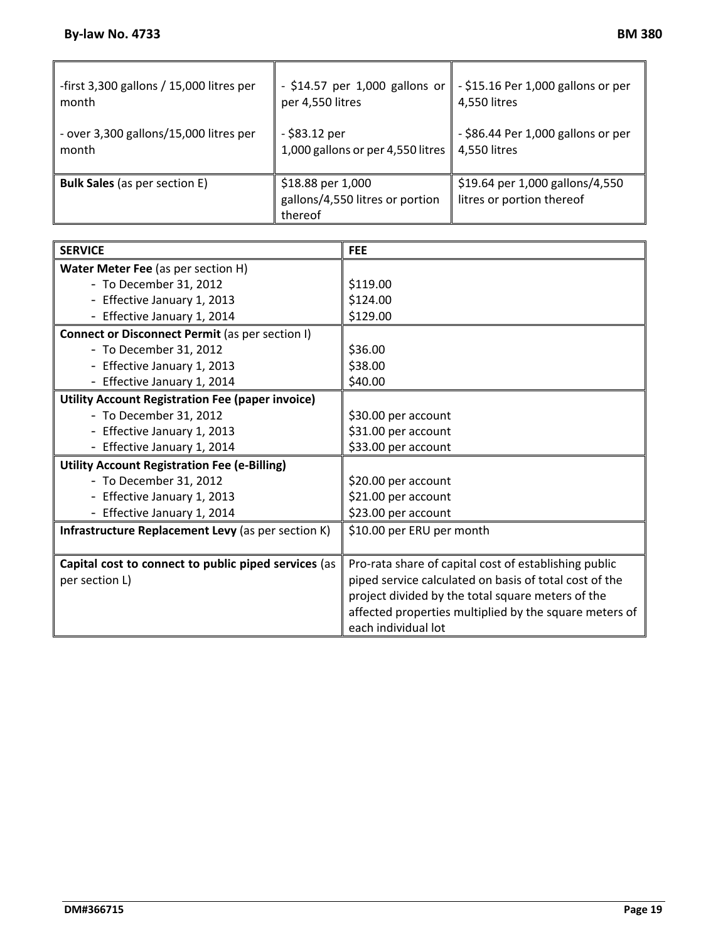| -first 3,300 gallons / 15,000 litres per | $-$ \$14.57 per 1,000 gallons or                                | $\vert \vert$ - \$15.16 Per 1,000 gallons or per             |
|------------------------------------------|-----------------------------------------------------------------|--------------------------------------------------------------|
| month                                    | per 4,550 litres                                                | 4,550 litres                                                 |
| - over 3,300 gallons/15,000 litres per   | - \$83.12 per                                                   | - \$86.44 Per 1,000 gallons or per                           |
| month                                    | 1,000 gallons or per 4,550 litres                               | 4,550 litres                                                 |
| <b>Bulk Sales</b> (as per section E)     | \$18.88 per 1,000<br>gallons/4,550 litres or portion<br>thereof | \$19.64 per 1,000 gallons/4,550<br>litres or portion thereof |

| <b>SERVICE</b>                                          | <b>FEE</b>                                             |
|---------------------------------------------------------|--------------------------------------------------------|
| Water Meter Fee (as per section H)                      |                                                        |
| - To December 31, 2012                                  | \$119.00                                               |
| - Effective January 1, 2013                             | \$124.00                                               |
| - Effective January 1, 2014                             | \$129.00                                               |
| Connect or Disconnect Permit (as per section I)         |                                                        |
| - To December 31, 2012                                  | \$36.00                                                |
| - Effective January 1, 2013                             | \$38.00                                                |
| - Effective January 1, 2014                             | \$40.00                                                |
| <b>Utility Account Registration Fee (paper invoice)</b> |                                                        |
| - To December 31, 2012                                  | \$30.00 per account                                    |
| - Effective January 1, 2013                             | \$31.00 per account                                    |
| - Effective January 1, 2014                             | \$33.00 per account                                    |
| <b>Utility Account Registration Fee (e-Billing)</b>     |                                                        |
| - To December 31, 2012                                  | \$20.00 per account                                    |
| - Effective January 1, 2013                             | \$21.00 per account                                    |
| - Effective January 1, 2014                             | \$23.00 per account                                    |
| Infrastructure Replacement Levy (as per section K)      | \$10.00 per ERU per month                              |
| Capital cost to connect to public piped services (as    | Pro-rata share of capital cost of establishing public  |
| per section L)                                          | piped service calculated on basis of total cost of the |
|                                                         | project divided by the total square meters of the      |
|                                                         | affected properties multiplied by the square meters of |
|                                                         | each individual lot                                    |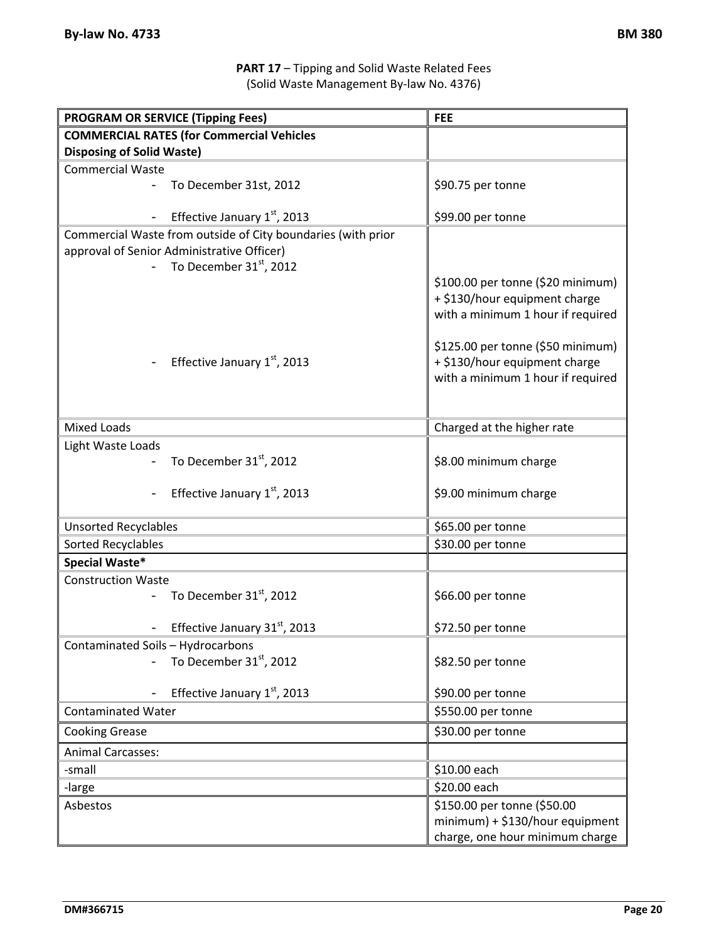### **PART 17** – Tipping and Solid Waste Related Fees (Solid Waste Management By‐law No. 4376)

| <b>PROGRAM OR SERVICE (Tipping Fees)</b>                                 | <b>FEE</b>                                                         |  |
|--------------------------------------------------------------------------|--------------------------------------------------------------------|--|
| <b>COMMERCIAL RATES (for Commercial Vehicles</b>                         |                                                                    |  |
| <b>Disposing of Solid Waste)</b>                                         |                                                                    |  |
| <b>Commercial Waste</b>                                                  |                                                                    |  |
| To December 31st, 2012                                                   | \$90.75 per tonne                                                  |  |
| Effective January 1st, 2013                                              | \$99.00 per tonne                                                  |  |
| Commercial Waste from outside of City boundaries (with prior             |                                                                    |  |
| approval of Senior Administrative Officer)                               |                                                                    |  |
| To December 31st, 2012                                                   |                                                                    |  |
|                                                                          | \$100.00 per tonne (\$20 minimum)                                  |  |
|                                                                          | + \$130/hour equipment charge<br>with a minimum 1 hour if required |  |
|                                                                          |                                                                    |  |
|                                                                          | \$125.00 per tonne (\$50 minimum)                                  |  |
| Effective January 1st, 2013                                              | + \$130/hour equipment charge                                      |  |
|                                                                          | with a minimum 1 hour if required                                  |  |
|                                                                          |                                                                    |  |
|                                                                          |                                                                    |  |
| <b>Mixed Loads</b>                                                       | Charged at the higher rate                                         |  |
| Light Waste Loads                                                        |                                                                    |  |
| To December 31 <sup>st</sup> , 2012                                      | \$8.00 minimum charge                                              |  |
| Effective January 1st, 2013                                              | \$9.00 minimum charge                                              |  |
|                                                                          |                                                                    |  |
| <b>Unsorted Recyclables</b>                                              | \$65.00 per tonne                                                  |  |
| Sorted Recyclables                                                       | \$30.00 per tonne                                                  |  |
| Special Waste*                                                           |                                                                    |  |
| <b>Construction Waste</b>                                                |                                                                    |  |
| To December 31 <sup>st</sup> , 2012                                      | \$66.00 per tonne                                                  |  |
| Effective January 31st, 2013                                             | \$72.50 per tonne                                                  |  |
|                                                                          |                                                                    |  |
| Contaminated Soils – Hydrocarbons<br>To December 31 <sup>st</sup> , 2012 | \$82.50 per tonne                                                  |  |
|                                                                          |                                                                    |  |
| Effective January 1st, 2013                                              | \$90.00 per tonne                                                  |  |
| <b>Contaminated Water</b>                                                | \$550.00 per tonne                                                 |  |
| <b>Cooking Grease</b>                                                    | \$30.00 per tonne                                                  |  |
| <b>Animal Carcasses:</b>                                                 |                                                                    |  |
| -small                                                                   | \$10.00 each                                                       |  |
| -large                                                                   | \$20.00 each                                                       |  |
| Asbestos                                                                 | \$150.00 per tonne (\$50.00                                        |  |
|                                                                          | $minimum$ ) + \$130/hour equipment                                 |  |
|                                                                          | charge, one hour minimum charge                                    |  |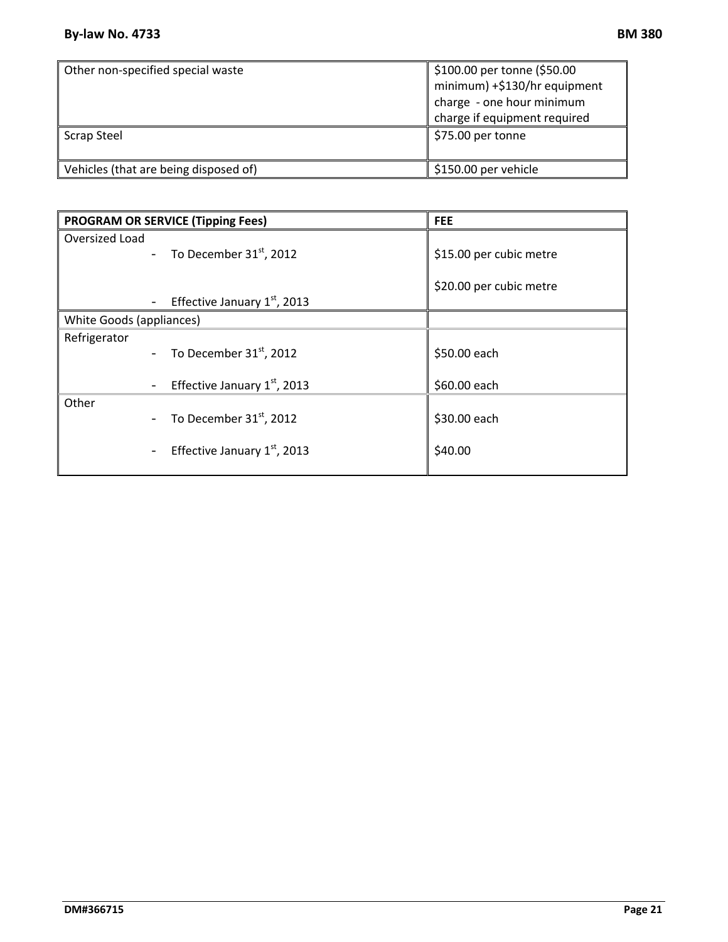| Other non-specified special waste     | \$100.00 per tonne (\$50.00  |
|---------------------------------------|------------------------------|
|                                       | minimum) +\$130/hr equipment |
|                                       | charge - one hour minimum    |
|                                       | charge if equipment required |
| <b>Scrap Steel</b>                    | \$75.00 per tonne            |
| Vehicles (that are being disposed of) | \$150.00 per vehicle         |

|                          | <b>PROGRAM OR SERVICE (Tipping Fees)</b>                   | <b>FEE</b>              |
|--------------------------|------------------------------------------------------------|-------------------------|
| Oversized Load           |                                                            |                         |
|                          | - To December $31st$ , 2012                                | \$15.00 per cubic metre |
|                          |                                                            |                         |
|                          |                                                            | \$20.00 per cubic metre |
|                          | Effective January $1st$ , 2013                             |                         |
| White Goods (appliances) |                                                            |                         |
| Refrigerator             |                                                            |                         |
|                          | - To December $31st$ , 2012                                | \$50.00 each            |
|                          | Effective January 1st, 2013                                | \$60.00 each            |
| Other                    |                                                            |                         |
|                          | To December $31st$ , 2012                                  | \$30.00 each            |
|                          | Effective January $1st$ , 2013<br>$\overline{\phantom{0}}$ | \$40.00                 |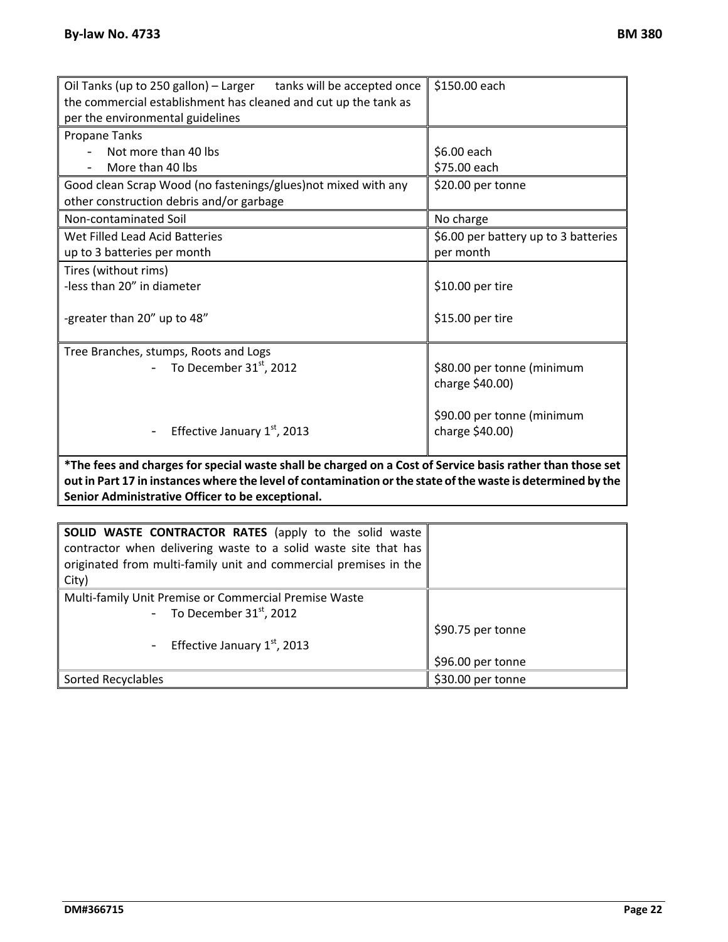| Oil Tanks (up to 250 gallon) - Larger tanks will be accepted once                                         | \$150.00 each                        |  |
|-----------------------------------------------------------------------------------------------------------|--------------------------------------|--|
| the commercial establishment has cleaned and cut up the tank as                                           |                                      |  |
| per the environmental guidelines                                                                          |                                      |  |
| Propane Tanks                                                                                             |                                      |  |
| Not more than 40 lbs                                                                                      | \$6.00 each                          |  |
| More than 40 lbs                                                                                          | \$75.00 each                         |  |
| Good clean Scrap Wood (no fastenings/glues) not mixed with any                                            | \$20.00 per tonne                    |  |
| other construction debris and/or garbage                                                                  |                                      |  |
| Non-contaminated Soil                                                                                     | No charge                            |  |
| Wet Filled Lead Acid Batteries                                                                            | \$6.00 per battery up to 3 batteries |  |
| up to 3 batteries per month                                                                               | per month                            |  |
| Tires (without rims)                                                                                      |                                      |  |
| -less than 20" in diameter                                                                                | \$10.00 per tire                     |  |
|                                                                                                           |                                      |  |
| -greater than 20" up to 48"                                                                               | \$15.00 per tire                     |  |
|                                                                                                           |                                      |  |
| Tree Branches, stumps, Roots and Logs                                                                     |                                      |  |
| To December 31 <sup>st</sup> , 2012                                                                       | \$80.00 per tonne (minimum           |  |
|                                                                                                           | charge \$40.00)                      |  |
|                                                                                                           |                                      |  |
|                                                                                                           | \$90.00 per tonne (minimum           |  |
| Effective January $1st$ , 2013                                                                            | charge \$40.00)                      |  |
|                                                                                                           |                                      |  |
| *The fees and charges for special waste shall be charged on a Cost of Service basis rather than those set |                                      |  |

\*The fees and charges for special waste shall be charged on a Cost of Service basis rather than those set out in Part 17 in instances where the level of contamination or the state of the waste is determined by the **Senior Administrative Officer to be exceptional.** 

| SOLID WASTE CONTRACTOR RATES (apply to the solid waste<br>contractor when delivering waste to a solid waste site that has<br>originated from multi-family unit and commercial premises in the<br>City) |                   |
|--------------------------------------------------------------------------------------------------------------------------------------------------------------------------------------------------------|-------------------|
| Multi-family Unit Premise or Commercial Premise Waste                                                                                                                                                  |                   |
| - To December $31st$ , 2012                                                                                                                                                                            |                   |
|                                                                                                                                                                                                        | \$90.75 per tonne |
| - Effective January $1st$ , 2013                                                                                                                                                                       |                   |
|                                                                                                                                                                                                        | \$96.00 per tonne |
| Sorted Recyclables                                                                                                                                                                                     | \$30.00 per tonne |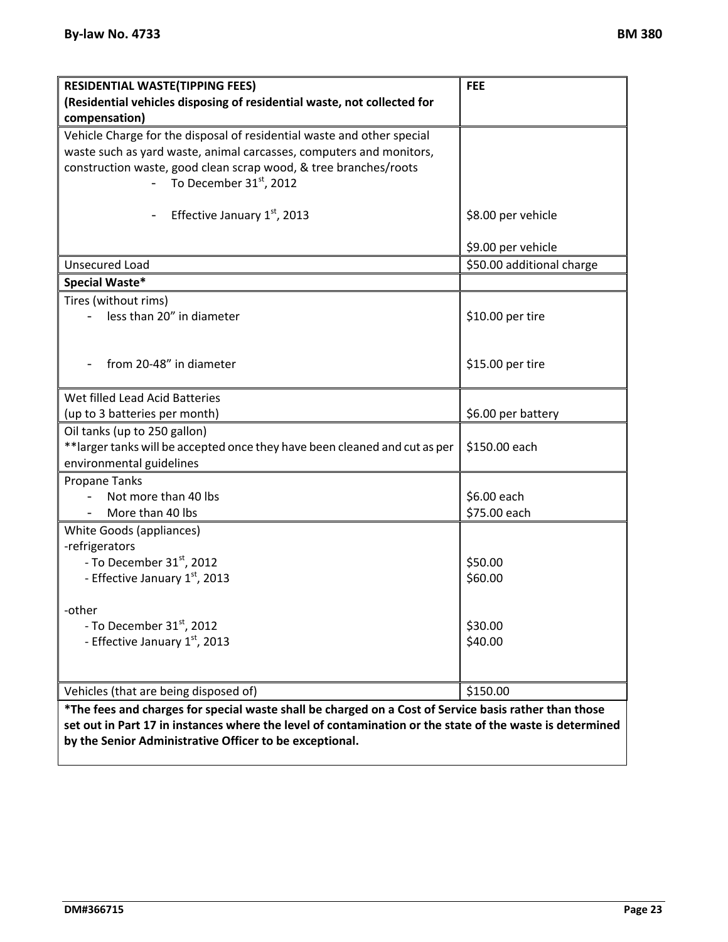| <b>RESIDENTIAL WASTE(TIPPING FEES)</b>                                      | <b>FEE</b>                |
|-----------------------------------------------------------------------------|---------------------------|
| (Residential vehicles disposing of residential waste, not collected for     |                           |
| compensation)                                                               |                           |
| Vehicle Charge for the disposal of residential waste and other special      |                           |
| waste such as yard waste, animal carcasses, computers and monitors,         |                           |
| construction waste, good clean scrap wood, & tree branches/roots            |                           |
| To December 31 <sup>st</sup> , 2012                                         |                           |
| Effective January 1st, 2013                                                 | \$8.00 per vehicle        |
|                                                                             | \$9.00 per vehicle        |
| <b>Unsecured Load</b>                                                       | \$50.00 additional charge |
| Special Waste*                                                              |                           |
| Tires (without rims)                                                        |                           |
| less than 20" in diameter                                                   | \$10.00 per tire          |
|                                                                             |                           |
| from 20-48" in diameter                                                     | \$15.00 per tire          |
|                                                                             |                           |
| Wet filled Lead Acid Batteries                                              |                           |
| (up to 3 batteries per month)                                               | \$6.00 per battery        |
| Oil tanks (up to 250 gallon)                                                |                           |
| ** larger tanks will be accepted once they have been cleaned and cut as per | \$150.00 each             |
| environmental guidelines                                                    |                           |
| <b>Propane Tanks</b>                                                        |                           |
| Not more than 40 lbs                                                        | \$6.00 each               |
| More than 40 lbs                                                            | \$75.00 each              |
| White Goods (appliances)                                                    |                           |
| -refrigerators                                                              |                           |
| - To December 31 <sup>st</sup> , 2012                                       | \$50.00                   |
| - Effective January 1st, 2013                                               | \$60.00                   |
| -other                                                                      |                           |
| - To December 31 <sup>st</sup> , 2012                                       | \$30.00                   |
| - Effective January 1st, 2013                                               | \$40.00                   |
|                                                                             |                           |
|                                                                             |                           |
| Vehicles (that are being disposed of)                                       | \$150.00                  |
|                                                                             |                           |

\*The fees and charges for special waste shall be charged on a Cost of Service basis rather than those set out in Part 17 in instances where the level of contamination or the state of the waste is determined **by the Senior Administrative Officer to be exceptional.**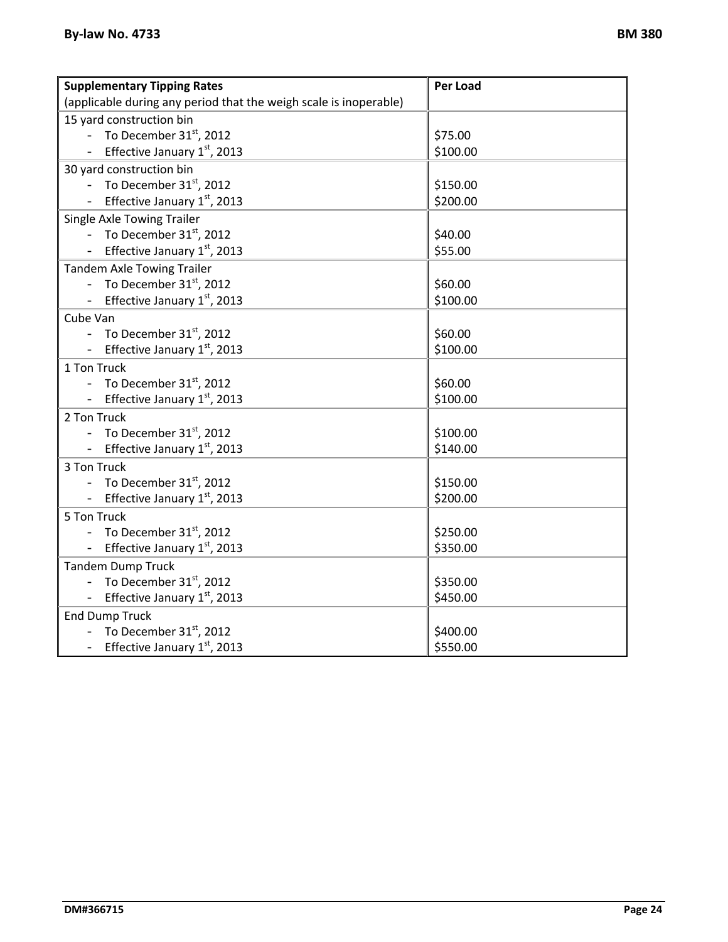| <b>Supplementary Tipping Rates</b>                                | Per Load |  |
|-------------------------------------------------------------------|----------|--|
| (applicable during any period that the weigh scale is inoperable) |          |  |
| 15 yard construction bin                                          |          |  |
| - To December $31st$ , 2012                                       | \$75.00  |  |
| Effective January 1st, 2013                                       | \$100.00 |  |
| 30 yard construction bin                                          |          |  |
| To December $31st$ , 2012                                         | \$150.00 |  |
| Effective January 1st, 2013                                       | \$200.00 |  |
| Single Axle Towing Trailer                                        |          |  |
| - To December $31st$ , 2012                                       | \$40.00  |  |
| Effective January 1st, 2013                                       | \$55.00  |  |
| <b>Tandem Axle Towing Trailer</b>                                 |          |  |
| - To December $31st$ , 2012                                       | \$60.00  |  |
| Effective January 1st, 2013                                       | \$100.00 |  |
| Cube Van                                                          |          |  |
| - To December $31st$ , 2012                                       | \$60.00  |  |
| - Effective January $1st$ , 2013                                  | \$100.00 |  |
| 1 Ton Truck                                                       |          |  |
| - To December $31st$ , 2012                                       | \$60.00  |  |
| Effective January 1st, 2013                                       | \$100.00 |  |
| 2 Ton Truck                                                       |          |  |
| - To December $31st$ , 2012                                       | \$100.00 |  |
| Effective January 1st, 2013                                       | \$140.00 |  |
| 3 Ton Truck                                                       |          |  |
| - To December $31st$ , 2012                                       | \$150.00 |  |
| - Effective January 1st, 2013                                     | \$200.00 |  |
| 5 Ton Truck                                                       |          |  |
| - To December $31st$ , 2012                                       | \$250.00 |  |
| Effective January 1st, 2013                                       | \$350.00 |  |
| <b>Tandem Dump Truck</b>                                          |          |  |
| - To December $31st$ , 2012                                       | \$350.00 |  |
| - Effective January $1st$ , 2013                                  | \$450.00 |  |
| <b>End Dump Truck</b>                                             |          |  |
| - To December $31st$ , 2012                                       | \$400.00 |  |
| - Effective January 1st, 2013                                     | \$550.00 |  |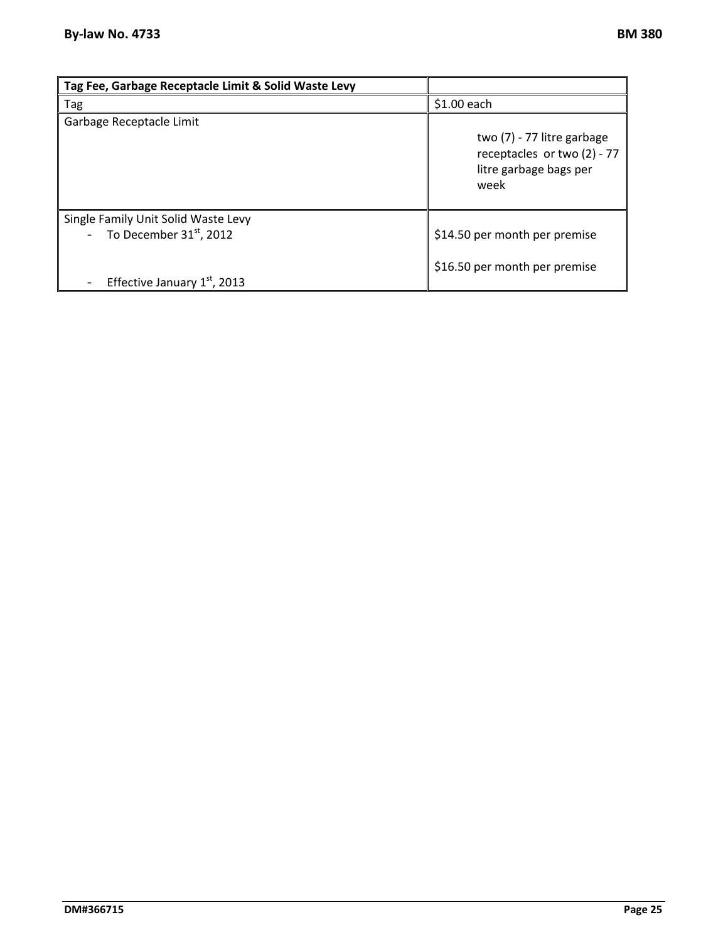| Tag Fee, Garbage Receptacle Limit & Solid Waste Levy                                              |                                                                                             |
|---------------------------------------------------------------------------------------------------|---------------------------------------------------------------------------------------------|
| Tag                                                                                               | \$1.00 each                                                                                 |
| Garbage Receptacle Limit                                                                          | two (7) - 77 litre garbage<br>receptacles or two (2) - 77<br>litre garbage bags per<br>week |
| Single Family Unit Solid Waste Levy<br>- To December $31st$ , 2012<br>Effective January 1st, 2013 | \$14.50 per month per premise<br>\$16.50 per month per premise                              |